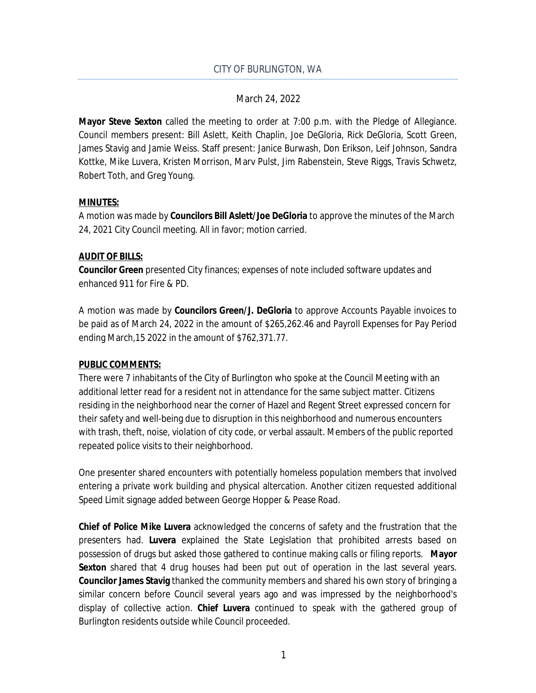**Mayor Steve Sexton** called the meeting to order at 7:00 p.m. with the Pledge of Allegiance. Council members present: Bill Aslett, Keith Chaplin, Joe DeGloria, Rick DeGloria, Scott Green, James Stavig and Jamie Weiss. Staff present: Janice Burwash, Don Erikson, Leif Johnson, Sandra Kottke, Mike Luvera, Kristen Morrison, Marv Pulst, Jim Rabenstein, Steve Riggs, Travis Schwetz, Robert Toth, and Greg Young.

## **MINUTES:**

A motion was made by **Councilors Bill Aslett/Joe DeGloria** to approve the minutes of the March 24, 2021 City Council meeting. All in favor; motion carried.

# **AUDIT OF BILLS:**

**Councilor Green** presented City finances; expenses of note included software updates and enhanced 911 for Fire & PD.

A motion was made by **Councilors Green/J. DeGloria** to approve Accounts Payable invoices to be paid as of March 24, 2022 in the amount of \$265,262.46 and Payroll Expenses for Pay Period ending March,15 2022 in the amount of \$762,371.77.

## **PUBLIC COMMENTS:**

There were 7 inhabitants of the City of Burlington who spoke at the Council Meeting with an additional letter read for a resident not in attendance for the same subject matter. Citizens residing in the neighborhood near the corner of Hazel and Regent Street expressed concern for their safety and well-being due to disruption in this neighborhood and numerous encounters with trash, theft, noise, violation of city code, or verbal assault. Members of the public reported repeated police visits to their neighborhood.

One presenter shared encounters with potentially homeless population members that involved entering a private work building and physical altercation. Another citizen requested additional Speed Limit signage added between George Hopper & Pease Road.

**Chief of Police Mike Luvera** acknowledged the concerns of safety and the frustration that the presenters had. **Luvera** explained the State Legislation that prohibited arrests based on possession of drugs but asked those gathered to continue making calls or filing reports. **Mayor** Sexton shared that 4 drug houses had been put out of operation in the last several years. **Councilor James Stavig** thanked the community members and shared his own story of bringing a similar concern before Council several years ago and was impressed by the neighborhood's display of collective action. **Chief Luvera** continued to speak with the gathered group of Burlington residents outside while Council proceeded.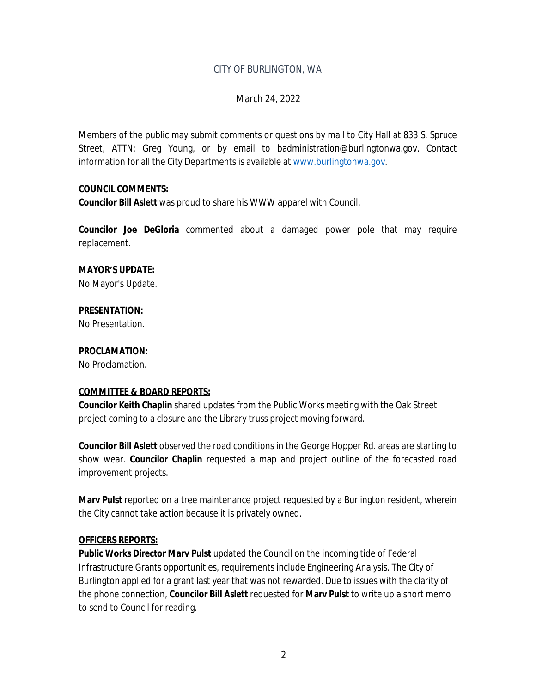### CITY OF BURLINGTON, WA

## March 24, 2022

Members of the public may submit comments or questions by mail to City Hall at 833 S. Spruce Street, ATTN: Greg Young, or by email to badministration@burlingtonwa.gov. Contact information for all the City Departments is available at [www.burlingtonwa.gov.](http://www.burlingtonwa.gov)

#### **COUNCIL COMMENTS:**

**Councilor Bill Aslett** was proud to share his WWW apparel with Council.

**Councilor Joe DeGloria** commented about a damaged power pole that may require replacement.

### **MAYOR'S UPDATE:**

No Mayor's Update.

## **PRESENTATION:**

No Presentation.

### **PROCLAMATION:**

No Proclamation.

## **COMMITTEE & BOARD REPORTS:**

**Councilor Keith Chaplin** shared updates from the Public Works meeting with the Oak Street project coming to a closure and the Library truss project moving forward.

**Councilor Bill Aslett** observed the road conditions in the George Hopper Rd. areas are starting to show wear. **Councilor Chaplin** requested a map and project outline of the forecasted road improvement projects.

**Marv Pulst** reported on a tree maintenance project requested by a Burlington resident, wherein the City cannot take action because it is privately owned.

#### **OFFICERS REPORTS:**

**Public Works Director Marv Pulst** updated the Council on the incoming tide of Federal Infrastructure Grants opportunities, requirements include Engineering Analysis. The City of Burlington applied for a grant last year that was not rewarded. Due to issues with the clarity of the phone connection, **Councilor Bill Aslett** requested for **Marv Pulst** to write up a short memo to send to Council for reading.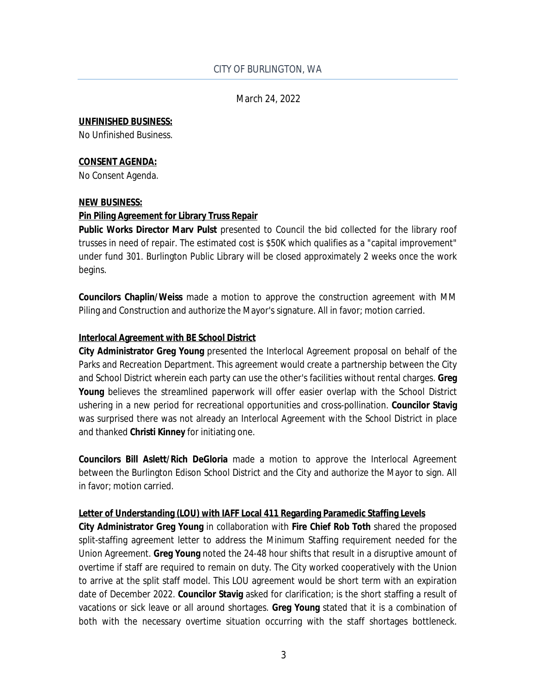#### **UNFINISHED BUSINESS:**

No Unfinished Business.

#### **CONSENT AGENDA:**

No Consent Agenda.

#### **NEW BUSINESS:**

#### **Pin Piling Agreement for Library Truss Repair**

**Public Works Director Marv Pulst** presented to Council the bid collected for the library roof trusses in need of repair. The estimated cost is \$50K which qualifies as a "capital improvement" under fund 301. Burlington Public Library will be closed approximately 2 weeks once the work begins.

**Councilors Chaplin/Weiss** made a motion to approve the construction agreement with MM Piling and Construction and authorize the Mayor's signature. All in favor; motion carried.

#### **Interlocal Agreement with BE School District**

**City Administrator Greg Young** presented the Interlocal Agreement proposal on behalf of the Parks and Recreation Department. This agreement would create a partnership between the City and School District wherein each party can use the other's facilities without rental charges. **Greg** Young believes the streamlined paperwork will offer easier overlap with the School District ushering in a new period for recreational opportunities and cross-pollination. **Councilor Stavig** was surprised there was not already an Interlocal Agreement with the School District in place and thanked **Christi Kinney** for initiating one.

**Councilors Bill Aslett/Rich DeGloria** made a motion to approve the Interlocal Agreement between the Burlington Edison School District and the City and authorize the Mayor to sign. All in favor; motion carried.

#### **Letter of Understanding (LOU) with IAFF Local 411 Regarding Paramedic Staffing Levels**

**City Administrator Greg Young** in collaboration with **Fire Chief Rob Toth** shared the proposed split-staffing agreement letter to address the Minimum Staffing requirement needed for the Union Agreement. **Greg Young** noted the 24-48 hour shifts that result in a disruptive amount of overtime if staff are required to remain on duty. The City worked cooperatively with the Union to arrive at the split staff model. This LOU agreement would be short term with an expiration date of December 2022. **Councilor Stavig** asked for clarification; is the short staffing a result of vacations or sick leave or all around shortages. **Greg Young** stated that it is a combination of both with the necessary overtime situation occurring with the staff shortages bottleneck.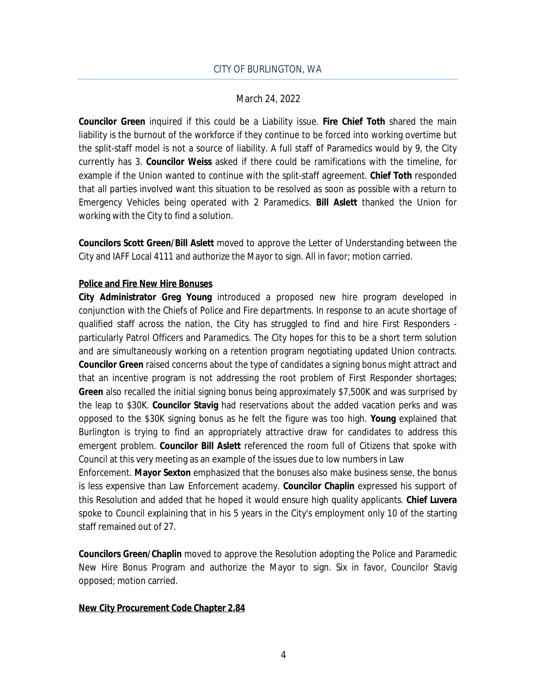**Councilor Green** inquired if this could be a Liability issue. **Fire Chief Toth** shared the main liability is the burnout of the workforce if they continue to be forced into working overtime but the split-staff model is not a source of liability. A full staff of Paramedics would by 9, the City currently has 3. **Councilor Weiss** asked if there could be ramifications with the timeline, for example if the Union wanted to continue with the split-staff agreement. **Chief Toth** responded that all parties involved want this situation to be resolved as soon as possible with a return to Emergency Vehicles being operated with 2 Paramedics. **Bill Aslett** thanked the Union for working with the City to find a solution.

**Councilors Scott Green/Bill Aslett** moved to approve the Letter of Understanding between the City and IAFF Local 4111 and authorize the Mayor to sign. All in favor; motion carried.

### **Police and Fire New Hire Bonuses**

**City Administrator Greg Young** introduced a proposed new hire program developed in conjunction with the Chiefs of Police and Fire departments. In response to an acute shortage of qualified staff across the nation, the City has struggled to find and hire First Responders particularly Patrol Officers and Paramedics. The City hopes for this to be a short term solution and are simultaneously working on a retention program negotiating updated Union contracts. **Councilor Green** raised concerns about the type of candidates a signing bonus might attract and that an incentive program is not addressing the root problem of First Responder shortages; **Green** also recalled the initial signing bonus being approximately \$7,500K and was surprised by the leap to \$30K. **Councilor Stavig** had reservations about the added vacation perks and was opposed to the \$30K signing bonus as he felt the figure was too high. **Young** explained that Burlington is trying to find an appropriately attractive draw for candidates to address this emergent problem. **Councilor Bill Aslett** referenced the room full of Citizens that spoke with Council at this very meeting as an example of the issues due to low numbers in Law

Enforcement. **Mayor Sexton** emphasized that the bonuses also make business sense, the bonus is less expensive than Law Enforcement academy. **Councilor Chaplin** expressed his support of this Resolution and added that he hoped it would ensure high quality applicants. **Chief Luvera** spoke to Council explaining that in his 5 years in the City's employment only 10 of the starting staff remained out of 27.

**Councilors Green/Chaplin** moved to approve the Resolution adopting the Police and Paramedic New Hire Bonus Program and authorize the Mayor to sign. Six in favor, Councilor Stavig opposed; motion carried.

#### **New City Procurement Code Chapter 2.84**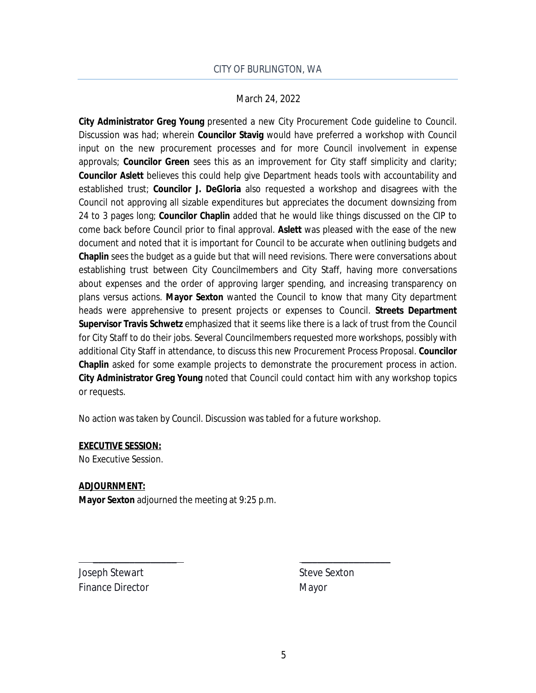**City Administrator Greg Young** presented a new City Procurement Code guideline to Council. Discussion was had; wherein **Councilor Stavig** would have preferred a workshop with Council input on the new procurement processes and for more Council involvement in expense approvals; **Councilor Green** sees this as an improvement for City staff simplicity and clarity; **Councilor Aslett** believes this could help give Department heads tools with accountability and established trust; **Councilor J. DeGloria** also requested a workshop and disagrees with the Council not approving all sizable expenditures but appreciates the document downsizing from 24 to 3 pages long; **Councilor Chaplin** added that he would like things discussed on the CIP to come back before Council prior to final approval. **Aslett** was pleased with the ease of the new document and noted that it is important for Council to be accurate when outlining budgets and **Chaplin** sees the budget as a guide but that will need revisions. There were conversations about establishing trust between City Councilmembers and City Staff, having more conversations about expenses and the order of approving larger spending, and increasing transparency on plans versus actions. **Mayor Sexton** wanted the Council to know that many City department heads were apprehensive to present projects or expenses to Council. **Streets Department Supervisor Travis Schwetz** emphasized that it seems like there is a lack of trust from the Council for City Staff to do their jobs. Several Councilmembers requested more workshops, possibly with additional City Staff in attendance, to discuss this new Procurement Process Proposal. **Councilor Chaplin** asked for some example projects to demonstrate the procurement process in action. **City Administrator Greg Young** noted that Council could contact him with any workshop topics or requests.

No action was taken by Council. Discussion was tabled for a future workshop.

\_\_\_\_\_\_\_\_\_\_\_\_\_\_\_\_ \_\_\_\_\_\_\_\_\_\_\_\_\_\_\_\_\_

#### **EXECUTIVE SESSION:**

No Executive Session.

#### **ADJOURNMENT:**

**Mayor Sexton** adjourned the meeting at 9:25 p.m.

Joseph Stewart Steve Sexton Finance Director Mayor